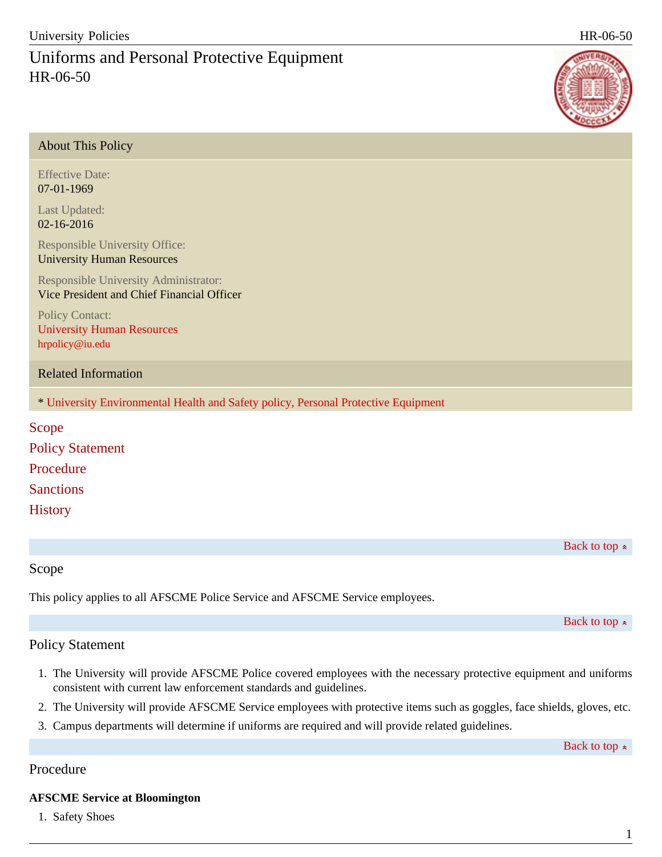About This Policy

# Uniforms and Personal Protective Equipment HR-06-50

| About This I oney                                                                          |
|--------------------------------------------------------------------------------------------|
| <b>Effective Date:</b><br>07-01-1969                                                       |
| Last Updated:<br>02-16-2016                                                                |
| Responsible University Office:<br><b>University Human Resources</b>                        |
| <b>Responsible University Administrator:</b><br>Vice President and Chief Financial Officer |
| <b>Policy Contact:</b><br><b>University Human Resources</b><br>hrpolicy@iu.edu             |
| <b>Related Information</b>                                                                 |
| * University Environmental Health and Safety policy, Personal Protective Equipment         |
| Scope<br><b>Policy Statement</b>                                                           |
|                                                                                            |
| Procedure                                                                                  |
| <b>Sanctions</b>                                                                           |
| <b>History</b>                                                                             |
|                                                                                            |

Back to top  $\approx$ 

### Scope

This policy applies to all AFSCME Police Service and AFSCME Service employees.

Back to top  $\approx$ 

# Policy Statement

- 1. The University will provide AFSCME Police covered employees with the necessary protective equipment and uniforms consistent with current law enforcement standards and guidelines.
- 2. The University will provide AFSCME Service employees with protective items such as goggles, face shields, gloves, etc.
- 3. Campus departments will determine if uniforms are required and will provide related guidelines.

Back to top  $\approx$ 

### Procedure

### **AFSCME Service at Bloomington**

1. Safety Shoes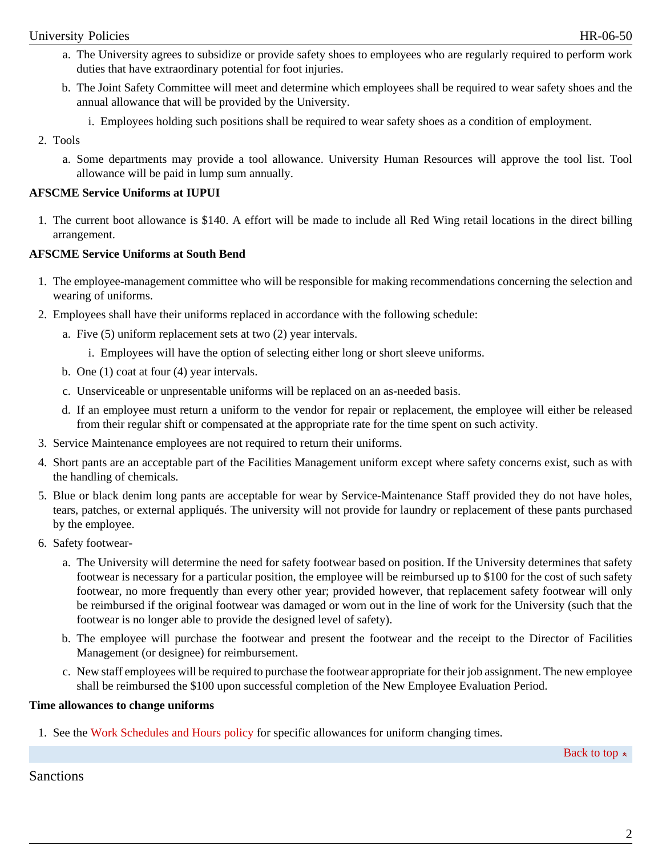- a. The University agrees to subsidize or provide safety shoes to employees who are regularly required to perform work duties that have extraordinary potential for foot injuries.
- b. The Joint Safety Committee will meet and determine which employees shall be required to wear safety shoes and the annual allowance that will be provided by the University.
	- i. Employees holding such positions shall be required to wear safety shoes as a condition of employment.
- 2. Tools
	- a. Some departments may provide a tool allowance. University Human Resources will approve the tool list. Tool allowance will be paid in lump sum annually.

#### **AFSCME Service Uniforms at IUPUI**

1. The current boot allowance is \$140. A effort will be made to include all Red Wing retail locations in the direct billing arrangement.

#### **AFSCME Service Uniforms at South Bend**

- 1. The employee-management committee who will be responsible for making recommendations concerning the selection and wearing of uniforms.
- 2. Employees shall have their uniforms replaced in accordance with the following schedule:
	- a. Five (5) uniform replacement sets at two (2) year intervals.
		- i. Employees will have the option of selecting either long or short sleeve uniforms.
	- b. One (1) coat at four (4) year intervals.
	- c. Unserviceable or unpresentable uniforms will be replaced on an as-needed basis.
	- d. If an employee must return a uniform to the vendor for repair or replacement, the employee will either be released from their regular shift or compensated at the appropriate rate for the time spent on such activity.
- 3. Service Maintenance employees are not required to return their uniforms.
- 4. Short pants are an acceptable part of the Facilities Management uniform except where safety concerns exist, such as with the handling of chemicals.
- 5. Blue or black denim long pants are acceptable for wear by Service-Maintenance Staff provided they do not have holes, tears, patches, or external appliqués. The university will not provide for laundry or replacement of these pants purchased by the employee.
- 6. Safety footwear
	- a. The University will determine the need for safety footwear based on position. If the University determines that safety footwear is necessary for a particular position, the employee will be reimbursed up to \$100 for the cost of such safety footwear, no more frequently than every other year; provided however, that replacement safety footwear will only be reimbursed if the original footwear was damaged or worn out in the line of work for the University (such that the footwear is no longer able to provide the designed level of safety).
	- b. The employee will purchase the footwear and present the footwear and the receipt to the Director of Facilities Management (or designee) for reimbursement.
	- c. New staff employees will be required to purchase the footwear appropriate for their job assignment. The new employee shall be reimbursed the \$100 upon successful completion of the New Employee Evaluation Period.

#### **Time allowances to change uniforms**

1. See the [Work Schedules and Hours policy](http://policies.iu.edu//IU-POLICY-WEBS.main/policies/categories/human-resources/schedules/work_schedules-non_exempt) for specific allowances for uniform changing times.

Back to top  $\approx$ 

Sanctions